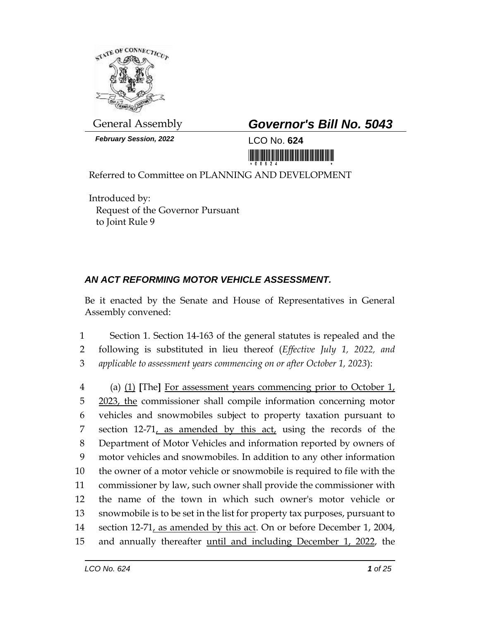

**February Session, 2022** LCO No. **624** 

General Assembly *Governor's Bill No. 5043*

Referred to Committee on PLANNING AND DEVELOPMENT

Introduced by: Request of the Governor Pursuant to Joint Rule 9

## *AN ACT REFORMING MOTOR VEHICLE ASSESSMENT.*

Be it enacted by the Senate and House of Representatives in General Assembly convened:

1 Section 1. Section 14-163 of the general statutes is repealed and the 2 following is substituted in lieu thereof (*Effective July 1, 2022, and*  3 *applicable to assessment years commencing on or after October 1, 2023*):

 (a) (1) **[**The**]** For assessment years commencing prior to October 1, 2023, the commissioner shall compile information concerning motor vehicles and snowmobiles subject to property taxation pursuant to 7 section 12-71, as amended by this act, using the records of the Department of Motor Vehicles and information reported by owners of motor vehicles and snowmobiles. In addition to any other information the owner of a motor vehicle or snowmobile is required to file with the commissioner by law, such owner shall provide the commissioner with the name of the town in which such owner's motor vehicle or snowmobile is to be set in the list for property tax purposes, pursuant to section 12-71, as amended by this act. On or before December 1, 2004, 15 and annually thereafter until and including December 1, 2022, the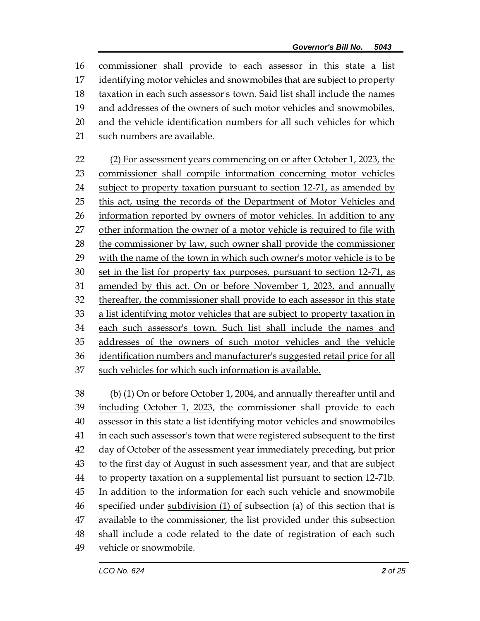commissioner shall provide to each assessor in this state a list identifying motor vehicles and snowmobiles that are subject to property taxation in each such assessor's town. Said list shall include the names and addresses of the owners of such motor vehicles and snowmobiles, and the vehicle identification numbers for all such vehicles for which such numbers are available.

22 (2) For assessment years commencing on or after October 1, 2023, the commissioner shall compile information concerning motor vehicles 24 subject to property taxation pursuant to section 12-71, as amended by 25 this act, using the records of the Department of Motor Vehicles and information reported by owners of motor vehicles. In addition to any other information the owner of a motor vehicle is required to file with the commissioner by law, such owner shall provide the commissioner 29 with the name of the town in which such owner's motor vehicle is to be 30 set in the list for property tax purposes, pursuant to section 12-71, as amended by this act. On or before November 1, 2023, and annually thereafter, the commissioner shall provide to each assessor in this state 33 a list identifying motor vehicles that are subject to property taxation in each such assessor's town. Such list shall include the names and addresses of the owners of such motor vehicles and the vehicle identification numbers and manufacturer's suggested retail price for all such vehicles for which such information is available.

 (b) (1) On or before October 1, 2004, and annually thereafter until and including October 1, 2023, the commissioner shall provide to each assessor in this state a list identifying motor vehicles and snowmobiles in each such assessor's town that were registered subsequent to the first day of October of the assessment year immediately preceding, but prior to the first day of August in such assessment year, and that are subject to property taxation on a supplemental list pursuant to section 12-71b. In addition to the information for each such vehicle and snowmobile specified under subdivision (1) of subsection (a) of this section that is available to the commissioner, the list provided under this subsection shall include a code related to the date of registration of each such vehicle or snowmobile.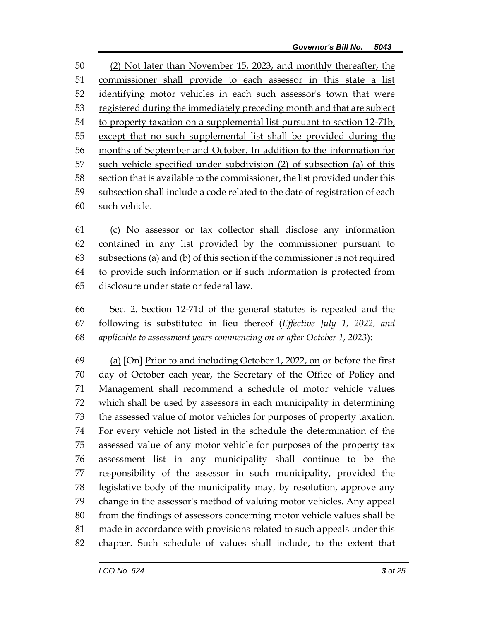(2) Not later than November 15, 2023, and monthly thereafter, the commissioner shall provide to each assessor in this state a list 52 identifying motor vehicles in each such assessor's town that were registered during the immediately preceding month and that are subject to property taxation on a supplemental list pursuant to section 12-71b, except that no such supplemental list shall be provided during the months of September and October. In addition to the information for such vehicle specified under subdivision (2) of subsection (a) of this section that is available to the commissioner, the list provided under this subsection shall include a code related to the date of registration of each such vehicle.

 (c) No assessor or tax collector shall disclose any information contained in any list provided by the commissioner pursuant to subsections (a) and (b) of this section if the commissioner is not required to provide such information or if such information is protected from disclosure under state or federal law.

 Sec. 2. Section 12-71d of the general statutes is repealed and the following is substituted in lieu thereof (*Effective July 1, 2022, and applicable to assessment years commencing on or after October 1, 2023*):

 (a) **[**On**]** Prior to and including October 1, 2022, on or before the first day of October each year, the Secretary of the Office of Policy and Management shall recommend a schedule of motor vehicle values which shall be used by assessors in each municipality in determining the assessed value of motor vehicles for purposes of property taxation. For every vehicle not listed in the schedule the determination of the assessed value of any motor vehicle for purposes of the property tax assessment list in any municipality shall continue to be the responsibility of the assessor in such municipality, provided the legislative body of the municipality may, by resolution, approve any change in the assessor's method of valuing motor vehicles. Any appeal from the findings of assessors concerning motor vehicle values shall be made in accordance with provisions related to such appeals under this chapter. Such schedule of values shall include, to the extent that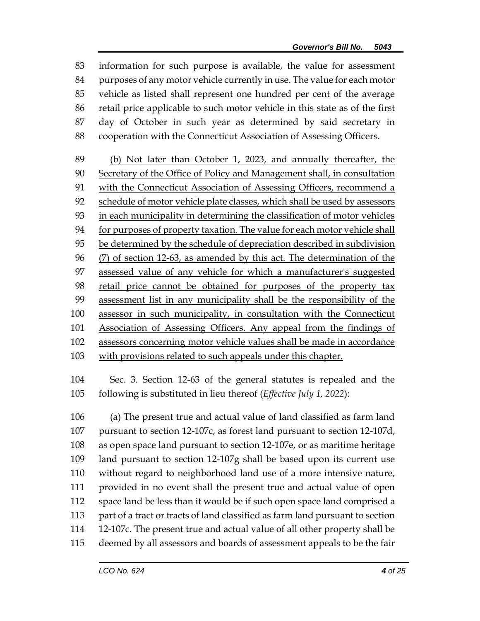information for such purpose is available, the value for assessment purposes of any motor vehicle currently in use. The value for each motor vehicle as listed shall represent one hundred per cent of the average retail price applicable to such motor vehicle in this state as of the first day of October in such year as determined by said secretary in cooperation with the Connecticut Association of Assessing Officers.

 (b) Not later than October 1, 2023, and annually thereafter, the Secretary of the Office of Policy and Management shall, in consultation with the Connecticut Association of Assessing Officers, recommend a 92 schedule of motor vehicle plate classes, which shall be used by assessors in each municipality in determining the classification of motor vehicles for purposes of property taxation. The value for each motor vehicle shall be determined by the schedule of depreciation described in subdivision (7) of section 12-63, as amended by this act. The determination of the assessed value of any vehicle for which a manufacturer's suggested retail price cannot be obtained for purposes of the property tax assessment list in any municipality shall be the responsibility of the assessor in such municipality, in consultation with the Connecticut Association of Assessing Officers. Any appeal from the findings of assessors concerning motor vehicle values shall be made in accordance 103 with provisions related to such appeals under this chapter.

 Sec. 3. Section 12-63 of the general statutes is repealed and the following is substituted in lieu thereof (*Effective July 1, 2022*):

 (a) The present true and actual value of land classified as farm land pursuant to section 12-107c, as forest land pursuant to section 12-107d, as open space land pursuant to section 12-107e, or as maritime heritage land pursuant to section 12-107g shall be based upon its current use without regard to neighborhood land use of a more intensive nature, provided in no event shall the present true and actual value of open space land be less than it would be if such open space land comprised a part of a tract or tracts of land classified as farm land pursuant to section 12-107c. The present true and actual value of all other property shall be deemed by all assessors and boards of assessment appeals to be the fair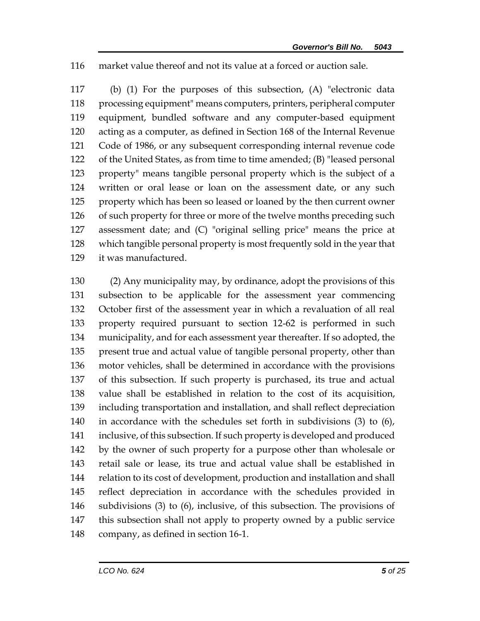market value thereof and not its value at a forced or auction sale.

 (b) (1) For the purposes of this subsection, (A) "electronic data processing equipment" means computers, printers, peripheral computer equipment, bundled software and any computer-based equipment acting as a computer, as defined in Section 168 of the Internal Revenue Code of 1986, or any subsequent corresponding internal revenue code of the United States, as from time to time amended; (B) "leased personal property" means tangible personal property which is the subject of a written or oral lease or loan on the assessment date, or any such property which has been so leased or loaned by the then current owner 126 of such property for three or more of the twelve months preceding such assessment date; and (C) "original selling price" means the price at which tangible personal property is most frequently sold in the year that it was manufactured.

 (2) Any municipality may, by ordinance, adopt the provisions of this subsection to be applicable for the assessment year commencing October first of the assessment year in which a revaluation of all real property required pursuant to section 12-62 is performed in such municipality, and for each assessment year thereafter. If so adopted, the present true and actual value of tangible personal property, other than motor vehicles, shall be determined in accordance with the provisions of this subsection. If such property is purchased, its true and actual value shall be established in relation to the cost of its acquisition, including transportation and installation, and shall reflect depreciation in accordance with the schedules set forth in subdivisions (3) to (6), inclusive, of this subsection. If such property is developed and produced by the owner of such property for a purpose other than wholesale or retail sale or lease, its true and actual value shall be established in relation to its cost of development, production and installation and shall reflect depreciation in accordance with the schedules provided in subdivisions (3) to (6), inclusive, of this subsection. The provisions of this subsection shall not apply to property owned by a public service company, as defined in section 16-1.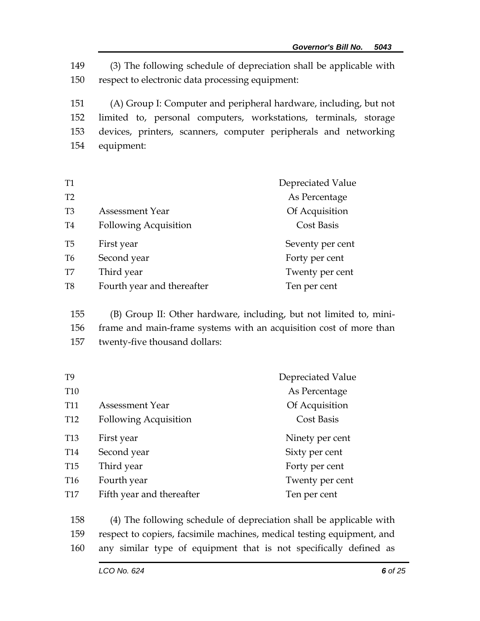149 (3) The following schedule of depreciation shall be applicable with 150 respect to electronic data processing equipment:

 (A) Group I: Computer and peripheral hardware, including, but not limited to, personal computers, workstations, terminals, storage devices, printers, scanners, computer peripherals and networking equipment:

| <b>T1</b>      |                              | Depreciated Value |
|----------------|------------------------------|-------------------|
| T2             |                              | As Percentage     |
| T <sub>3</sub> | <b>Assessment Year</b>       | Of Acquisition    |
| T <sub>4</sub> | <b>Following Acquisition</b> | Cost Basis        |
| T <sub>5</sub> | First year                   | Seventy per cent  |
| T <sub>6</sub> | Second year                  | Forty per cent    |
| T7             | Third year                   | Twenty per cent   |
| T <sub>8</sub> | Fourth year and thereafter   | Ten per cent      |
|                |                              |                   |

155 (B) Group II: Other hardware, including, but not limited to, mini-156 frame and main-frame systems with an acquisition cost of more than

157 twenty-five thousand dollars:

| T <sub>9</sub>  |                              | Depreciated Value |
|-----------------|------------------------------|-------------------|
| T <sub>10</sub> |                              | As Percentage     |
| T <sub>11</sub> | <b>Assessment Year</b>       | Of Acquisition    |
| T <sub>12</sub> | <b>Following Acquisition</b> | <b>Cost Basis</b> |
| T <sub>13</sub> | First year                   | Ninety per cent   |
| T <sub>14</sub> | Second year                  | Sixty per cent    |
| T <sub>15</sub> | Third year                   | Forty per cent    |
| T <sub>16</sub> | Fourth year                  | Twenty per cent   |
| T <sub>17</sub> | Fifth year and thereafter    | Ten per cent      |
|                 |                              |                   |

158 (4) The following schedule of depreciation shall be applicable with 159 respect to copiers, facsimile machines, medical testing equipment, and 160 any similar type of equipment that is not specifically defined as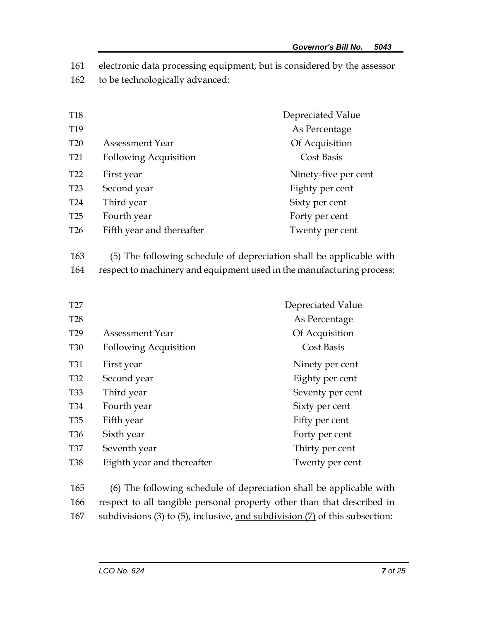161 electronic data processing equipment, but is considered by the assessor

162 to be technologically advanced:

| T <sub>18</sub> |                              | Depreciated Value    |
|-----------------|------------------------------|----------------------|
| T <sub>19</sub> |                              | As Percentage        |
| <b>T20</b>      | <b>Assessment Year</b>       | Of Acquisition       |
| T <sub>21</sub> | <b>Following Acquisition</b> | <b>Cost Basis</b>    |
| T <sub>22</sub> | First year                   | Ninety-five per cent |
| T <sub>23</sub> | Second year                  | Eighty per cent      |
| T <sub>24</sub> | Third year                   | Sixty per cent       |
| T <sub>25</sub> | Fourth year                  | Forty per cent       |
| T <sub>26</sub> | Fifth year and thereafter    | Twenty per cent      |
|                 |                              |                      |

163 (5) The following schedule of depreciation shall be applicable with 164 respect to machinery and equipment used in the manufacturing process:

| T <sub>27</sub> |                              | Depreciated Value |
|-----------------|------------------------------|-------------------|
| <b>T28</b>      |                              | As Percentage     |
| T <sub>29</sub> | Assessment Year              | Of Acquisition    |
| <b>T30</b>      | <b>Following Acquisition</b> | <b>Cost Basis</b> |
| <b>T31</b>      | First year                   | Ninety per cent   |
| T <sub>32</sub> | Second year                  | Eighty per cent   |
| <b>T33</b>      | Third year                   | Seventy per cent  |
| T <sub>34</sub> | Fourth year                  | Sixty per cent    |
| <b>T35</b>      | Fifth year                   | Fifty per cent    |
| T <sub>36</sub> | Sixth year                   | Forty per cent    |
| <b>T37</b>      | Seventh year                 | Thirty per cent   |
| <b>T38</b>      | Eighth year and thereafter   | Twenty per cent   |

165 (6) The following schedule of depreciation shall be applicable with 166 respect to all tangible personal property other than that described in 167 subdivisions (3) to (5), inclusive, and subdivision (7) of this subsection: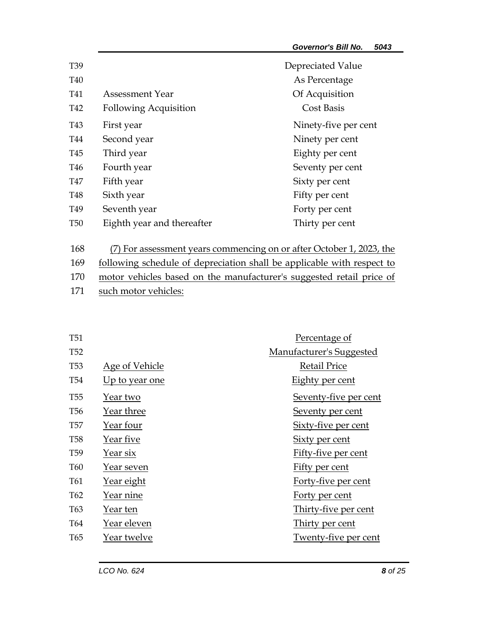| T <sub>39</sub> |                              | Depreciated Value    |
|-----------------|------------------------------|----------------------|
| T <sub>40</sub> |                              | As Percentage        |
| T41             | Assessment Year              | Of Acquisition       |
| T42             | <b>Following Acquisition</b> | <b>Cost Basis</b>    |
| T43             | First year                   | Ninety-five per cent |
| T44             | Second year                  | Ninety per cent      |
| T45             | Third year                   | Eighty per cent      |
| T46             | Fourth year                  | Seventy per cent     |
| T47             | Fifth year                   | Sixty per cent       |
| T48             | Sixth year                   | Fifty per cent       |
| T <sub>49</sub> | Seventh year                 | Forty per cent       |
| <b>T50</b>      | Eighth year and thereafter   | Thirty per cent      |

168 (7) For assessment years commencing on or after October 1, 2023, the

- 169 following schedule of depreciation shall be applicable with respect to
- 170 motor vehicles based on the manufacturer's suggested retail price of
- 171 such motor vehicles:

| <b>T51</b>      |                       | Percentage of            |
|-----------------|-----------------------|--------------------------|
| <b>T52</b>      |                       | Manufacturer's Suggested |
| T <sub>53</sub> | <b>Age of Vehicle</b> | <b>Retail Price</b>      |
| <b>T54</b>      | Up to year one        | <b>Eighty per cent</b>   |
| <b>T55</b>      | Year two              | Seventy-five per cent    |
| <b>T56</b>      | Year three            | Seventy per cent         |
| <b>T57</b>      | Year four             | Sixty-five per cent      |
| <b>T58</b>      | Year five             | Sixty per cent           |
| T <sub>59</sub> | Year six              | Fifty-five per cent      |
| T <sub>60</sub> | Year seven            | Fifty per cent           |
| T61             | <u>Year eight</u>     | Forty-five per cent      |
| T <sub>62</sub> | Year nine             | <u>Forty per cent</u>    |
| T <sub>63</sub> | Year ten              | Thirty-five per cent     |
| T64             | Year eleven           | Thirty per cent          |
| T <sub>65</sub> | Year twelve           | Twenty-five per cent     |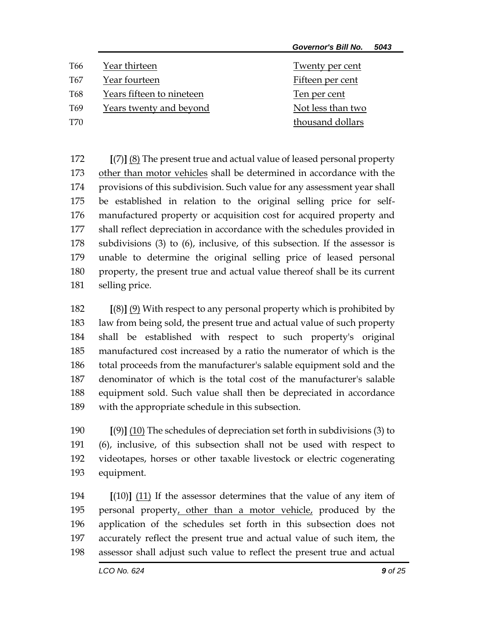| <b>Governor's Bill No.</b> |  | 5043 |
|----------------------------|--|------|
|----------------------------|--|------|

| T66 | Year thirteen             | Twenty per cent   |
|-----|---------------------------|-------------------|
| T67 | Year fourteen             | Fifteen per cent  |
| T68 | Years fifteen to nineteen | Ten per cent      |
| T69 | Years twenty and beyond   | Not less than two |
| T70 |                           | thousand dollars  |

 **[**(7)**]** (8) The present true and actual value of leased personal property other than motor vehicles shall be determined in accordance with the provisions of this subdivision. Such value for any assessment year shall be established in relation to the original selling price for self- manufactured property or acquisition cost for acquired property and shall reflect depreciation in accordance with the schedules provided in subdivisions (3) to (6), inclusive, of this subsection. If the assessor is unable to determine the original selling price of leased personal property, the present true and actual value thereof shall be its current selling price.

 **[**(8)**]** (9) With respect to any personal property which is prohibited by law from being sold, the present true and actual value of such property shall be established with respect to such property's original manufactured cost increased by a ratio the numerator of which is the total proceeds from the manufacturer's salable equipment sold and the denominator of which is the total cost of the manufacturer's salable equipment sold. Such value shall then be depreciated in accordance with the appropriate schedule in this subsection.

 **[**(9)**]** (10) The schedules of depreciation set forth in subdivisions (3) to (6), inclusive, of this subsection shall not be used with respect to videotapes, horses or other taxable livestock or electric cogenerating equipment.

 **[**(10)**]** (11) If the assessor determines that the value of any item of personal property, other than a motor vehicle, produced by the application of the schedules set forth in this subsection does not accurately reflect the present true and actual value of such item, the assessor shall adjust such value to reflect the present true and actual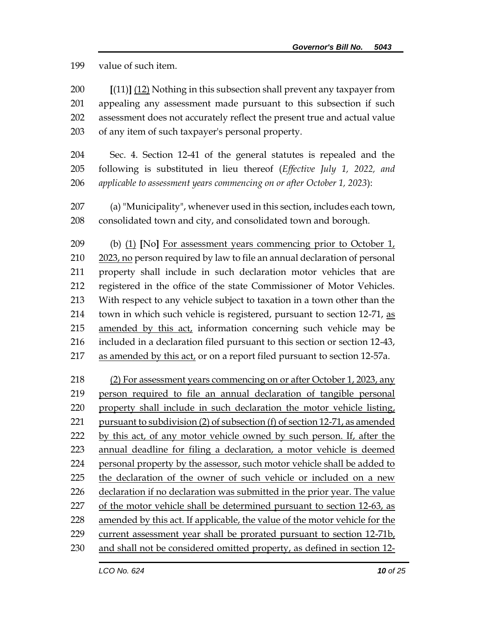value of such item.

 **[**(11)**]** (12) Nothing in this subsection shall prevent any taxpayer from appealing any assessment made pursuant to this subsection if such assessment does not accurately reflect the present true and actual value of any item of such taxpayer's personal property.

 Sec. 4. Section 12-41 of the general statutes is repealed and the following is substituted in lieu thereof (*Effective July 1, 2022, and applicable to assessment years commencing on or after October 1, 2023*):

 (a) "Municipality", whenever used in this section, includes each town, consolidated town and city, and consolidated town and borough.

 (b) (1) **[**No**]** For assessment years commencing prior to October 1, 2023, no person required by law to file an annual declaration of personal property shall include in such declaration motor vehicles that are registered in the office of the state Commissioner of Motor Vehicles. With respect to any vehicle subject to taxation in a town other than the 214 town in which such vehicle is registered, pursuant to section 12-71, as amended by this act, information concerning such vehicle may be included in a declaration filed pursuant to this section or section 12-43, 217 as amended by this act, or on a report filed pursuant to section 12-57a.

 (2) For assessment years commencing on or after October 1, 2023, any person required to file an annual declaration of tangible personal property shall include in such declaration the motor vehicle listing, pursuant to subdivision (2) of subsection (f) of section 12-71, as amended by this act, of any motor vehicle owned by such person. If, after the annual deadline for filing a declaration, a motor vehicle is deemed personal property by the assessor, such motor vehicle shall be added to the declaration of the owner of such vehicle or included on a new declaration if no declaration was submitted in the prior year. The value 227 of the motor vehicle shall be determined pursuant to section 12-63, as 228 amended by this act. If applicable, the value of the motor vehicle for the current assessment year shall be prorated pursuant to section 12-71b, and shall not be considered omitted property, as defined in section 12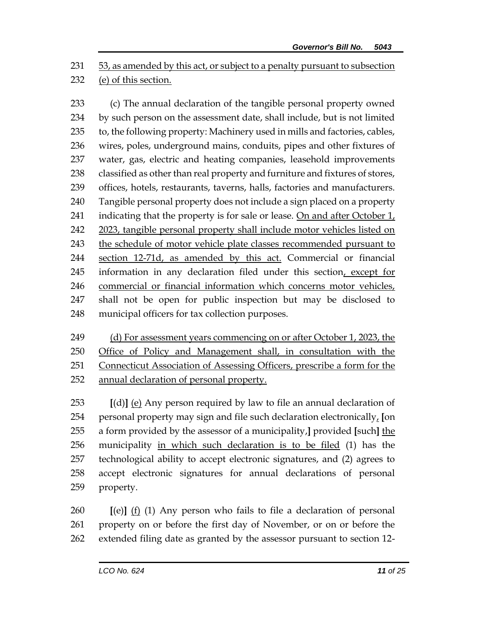53, as amended by this act, or subject to a penalty pursuant to subsection (e) of this section.

 (c) The annual declaration of the tangible personal property owned by such person on the assessment date, shall include, but is not limited to, the following property: Machinery used in mills and factories, cables, wires, poles, underground mains, conduits, pipes and other fixtures of water, gas, electric and heating companies, leasehold improvements 238 classified as other than real property and furniture and fixtures of stores, offices, hotels, restaurants, taverns, halls, factories and manufacturers. Tangible personal property does not include a sign placed on a property indicating that the property is for sale or lease. On and after October 1, 2023, tangible personal property shall include motor vehicles listed on the schedule of motor vehicle plate classes recommended pursuant to section 12-71d, as amended by this act. Commercial or financial information in any declaration filed under this section, except for commercial or financial information which concerns motor vehicles, shall not be open for public inspection but may be disclosed to municipal officers for tax collection purposes.

 (d) For assessment years commencing on or after October 1, 2023, the Office of Policy and Management shall, in consultation with the Connecticut Association of Assessing Officers, prescribe a form for the annual declaration of personal property.

 **[**(d)**]** (e) Any person required by law to file an annual declaration of personal property may sign and file such declaration electronically, **[**on a form provided by the assessor of a municipality,**]** provided **[**such**]** the municipality in which such declaration is to be filed (1) has the technological ability to accept electronic signatures, and (2) agrees to accept electronic signatures for annual declarations of personal property.

 **[**(e)**]** (f) (1) Any person who fails to file a declaration of personal property on or before the first day of November, or on or before the extended filing date as granted by the assessor pursuant to section 12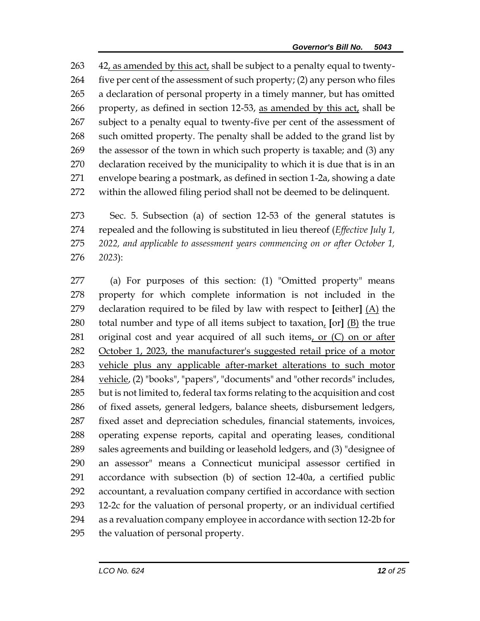42, as amended by this act, shall be subject to a penalty equal to twenty-264 five per cent of the assessment of such property;  $(2)$  any person who files a declaration of personal property in a timely manner, but has omitted property, as defined in section 12-53, as amended by this act, shall be subject to a penalty equal to twenty-five per cent of the assessment of such omitted property. The penalty shall be added to the grand list by the assessor of the town in which such property is taxable; and (3) any declaration received by the municipality to which it is due that is in an envelope bearing a postmark, as defined in section 1-2a, showing a date within the allowed filing period shall not be deemed to be delinquent.

 Sec. 5. Subsection (a) of section 12-53 of the general statutes is repealed and the following is substituted in lieu thereof (*Effective July 1, 2022, and applicable to assessment years commencing on or after October 1, 2023*):

 (a) For purposes of this section: (1) "Omitted property" means property for which complete information is not included in the declaration required to be filed by law with respect to **[**either**]** (A) the total number and type of all items subject to taxation, **[**or**]** (B) the true 281 original cost and year acquired of all such items, or  $(C)$  on or after October 1, 2023, the manufacturer's suggested retail price of a motor vehicle plus any applicable after-market alterations to such motor vehicle, (2) "books", "papers", "documents" and "other records" includes, but is not limited to, federal tax forms relating to the acquisition and cost of fixed assets, general ledgers, balance sheets, disbursement ledgers, fixed asset and depreciation schedules, financial statements, invoices, operating expense reports, capital and operating leases, conditional sales agreements and building or leasehold ledgers, and (3) "designee of an assessor" means a Connecticut municipal assessor certified in accordance with subsection (b) of section 12-40a, a certified public accountant, a revaluation company certified in accordance with section 12-2c for the valuation of personal property, or an individual certified as a revaluation company employee in accordance with section 12-2b for the valuation of personal property.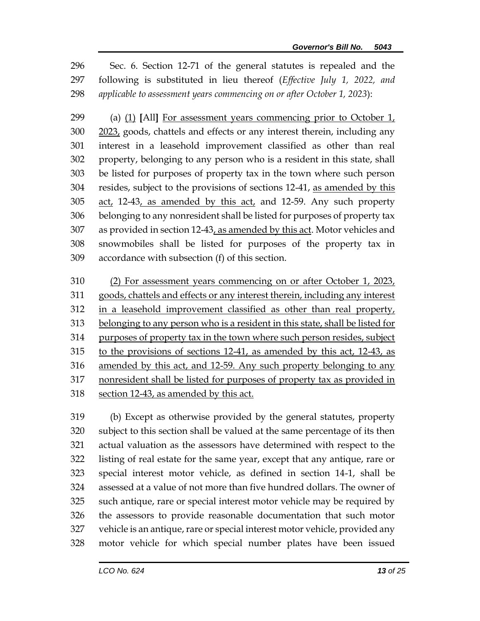Sec. 6. Section 12-71 of the general statutes is repealed and the following is substituted in lieu thereof (*Effective July 1, 2022, and applicable to assessment years commencing on or after October 1, 2023*):

 (a) (1) **[**All**]** For assessment years commencing prior to October 1, 2023, goods, chattels and effects or any interest therein, including any interest in a leasehold improvement classified as other than real property, belonging to any person who is a resident in this state, shall be listed for purposes of property tax in the town where such person resides, subject to the provisions of sections 12-41, as amended by this 305 act, 12-43, as amended by this act, and 12-59. Any such property belonging to any nonresident shall be listed for purposes of property tax as provided in section 12-43, as amended by this act. Motor vehicles and snowmobiles shall be listed for purposes of the property tax in accordance with subsection (f) of this section.

 (2) For assessment years commencing on or after October 1, 2023, goods, chattels and effects or any interest therein, including any interest in a leasehold improvement classified as other than real property, belonging to any person who is a resident in this state, shall be listed for purposes of property tax in the town where such person resides, subject to the provisions of sections 12-41, as amended by this act, 12-43, as amended by this act, and 12-59. Any such property belonging to any nonresident shall be listed for purposes of property tax as provided in section 12-43, as amended by this act.

 (b) Except as otherwise provided by the general statutes, property subject to this section shall be valued at the same percentage of its then actual valuation as the assessors have determined with respect to the listing of real estate for the same year, except that any antique, rare or special interest motor vehicle, as defined in section 14-1, shall be assessed at a value of not more than five hundred dollars. The owner of such antique, rare or special interest motor vehicle may be required by the assessors to provide reasonable documentation that such motor vehicle is an antique, rare or special interest motor vehicle, provided any motor vehicle for which special number plates have been issued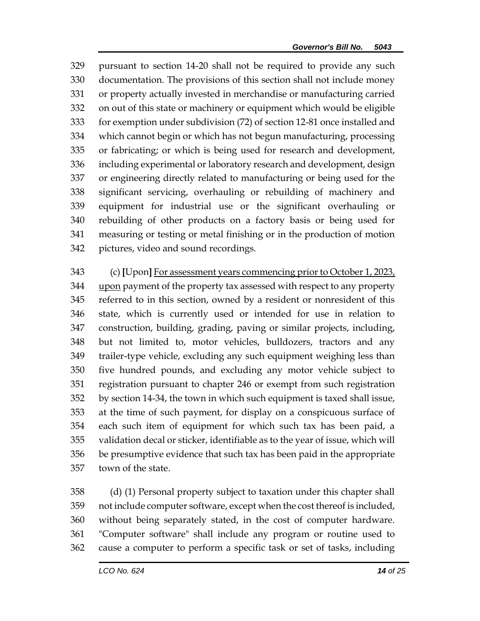pursuant to section 14-20 shall not be required to provide any such documentation. The provisions of this section shall not include money or property actually invested in merchandise or manufacturing carried on out of this state or machinery or equipment which would be eligible for exemption under subdivision (72) of section 12-81 once installed and which cannot begin or which has not begun manufacturing, processing or fabricating; or which is being used for research and development, including experimental or laboratory research and development, design or engineering directly related to manufacturing or being used for the significant servicing, overhauling or rebuilding of machinery and equipment for industrial use or the significant overhauling or rebuilding of other products on a factory basis or being used for measuring or testing or metal finishing or in the production of motion pictures, video and sound recordings.

 (c) **[**Upon**]** For assessment years commencing prior to October 1, 2023, upon payment of the property tax assessed with respect to any property referred to in this section, owned by a resident or nonresident of this state, which is currently used or intended for use in relation to construction, building, grading, paving or similar projects, including, but not limited to, motor vehicles, bulldozers, tractors and any trailer-type vehicle, excluding any such equipment weighing less than five hundred pounds, and excluding any motor vehicle subject to registration pursuant to chapter 246 or exempt from such registration by section 14-34, the town in which such equipment is taxed shall issue, at the time of such payment, for display on a conspicuous surface of each such item of equipment for which such tax has been paid, a validation decal or sticker, identifiable as to the year of issue, which will be presumptive evidence that such tax has been paid in the appropriate town of the state.

 (d) (1) Personal property subject to taxation under this chapter shall not include computer software, except when the cost thereof is included, without being separately stated, in the cost of computer hardware. "Computer software" shall include any program or routine used to cause a computer to perform a specific task or set of tasks, including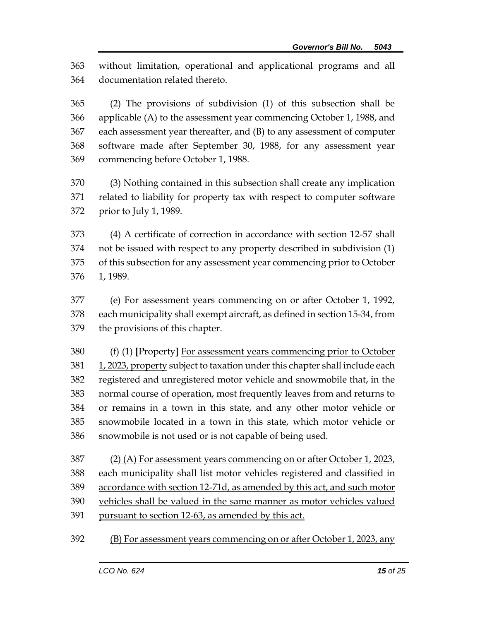without limitation, operational and applicational programs and all documentation related thereto.

 (2) The provisions of subdivision (1) of this subsection shall be applicable (A) to the assessment year commencing October 1, 1988, and each assessment year thereafter, and (B) to any assessment of computer software made after September 30, 1988, for any assessment year commencing before October 1, 1988.

 (3) Nothing contained in this subsection shall create any implication related to liability for property tax with respect to computer software prior to July 1, 1989.

 (4) A certificate of correction in accordance with section 12-57 shall not be issued with respect to any property described in subdivision (1) of this subsection for any assessment year commencing prior to October 1, 1989.

 (e) For assessment years commencing on or after October 1, 1992, each municipality shall exempt aircraft, as defined in section 15-34, from the provisions of this chapter.

 (f) (1) **[**Property**]** For assessment years commencing prior to October 381 1, 2023, property subject to taxation under this chapter shall include each registered and unregistered motor vehicle and snowmobile that, in the normal course of operation, most frequently leaves from and returns to or remains in a town in this state, and any other motor vehicle or snowmobile located in a town in this state, which motor vehicle or snowmobile is not used or is not capable of being used.

387 (2) (A) For assessment years commencing on or after October 1, 2023, 388 each municipality shall list motor vehicles registered and classified in accordance with section 12-71d, as amended by this act, and such motor vehicles shall be valued in the same manner as motor vehicles valued pursuant to section 12-63, as amended by this act.

(B) For assessment years commencing on or after October 1, 2023, any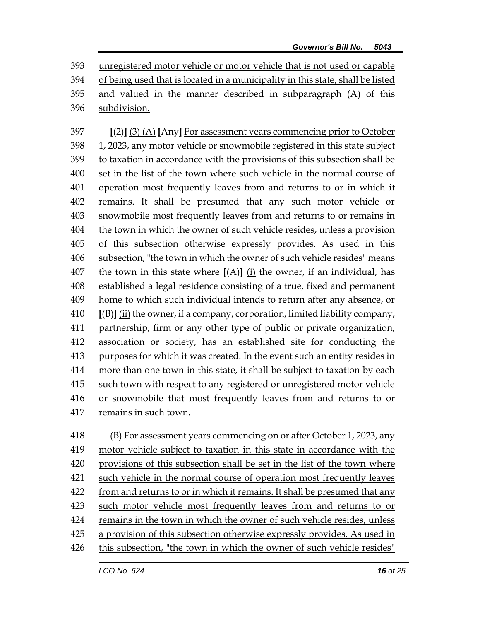unregistered motor vehicle or motor vehicle that is not used or capable of being used that is located in a municipality in this state, shall be listed and valued in the manner described in subparagraph (A) of this subdivision.

 **[**(2)**]** (3) (A) **[**Any**]** For assessment years commencing prior to October 1, 2023, any motor vehicle or snowmobile registered in this state subject to taxation in accordance with the provisions of this subsection shall be set in the list of the town where such vehicle in the normal course of operation most frequently leaves from and returns to or in which it remains. It shall be presumed that any such motor vehicle or snowmobile most frequently leaves from and returns to or remains in the town in which the owner of such vehicle resides, unless a provision of this subsection otherwise expressly provides. As used in this subsection, "the town in which the owner of such vehicle resides" means the town in this state where **[**(A)**]** (i) the owner, if an individual, has established a legal residence consisting of a true, fixed and permanent home to which such individual intends to return after any absence, or **[**(B)**]** (ii) the owner, if a company, corporation, limited liability company, partnership, firm or any other type of public or private organization, association or society, has an established site for conducting the purposes for which it was created. In the event such an entity resides in more than one town in this state, it shall be subject to taxation by each such town with respect to any registered or unregistered motor vehicle or snowmobile that most frequently leaves from and returns to or remains in such town.

 (B) For assessment years commencing on or after October 1, 2023, any motor vehicle subject to taxation in this state in accordance with the provisions of this subsection shall be set in the list of the town where 421 such vehicle in the normal course of operation most frequently leaves from and returns to or in which it remains. It shall be presumed that any such motor vehicle most frequently leaves from and returns to or remains in the town in which the owner of such vehicle resides, unless a provision of this subsection otherwise expressly provides. As used in this subsection, "the town in which the owner of such vehicle resides"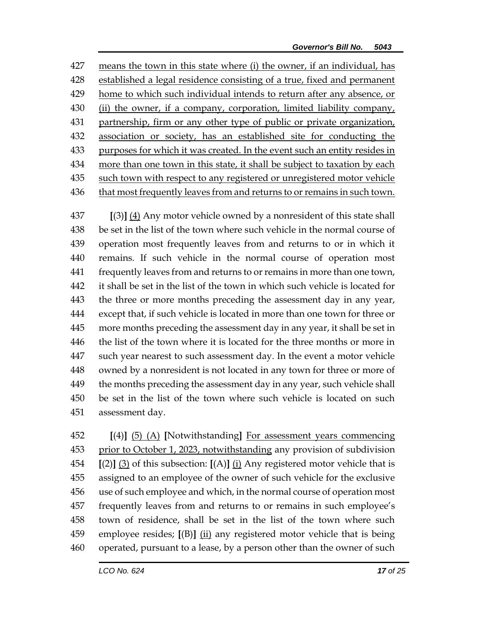means the town in this state where (i) the owner, if an individual, has established a legal residence consisting of a true, fixed and permanent home to which such individual intends to return after any absence, or (ii) the owner, if a company, corporation, limited liability company, partnership, firm or any other type of public or private organization, association or society, has an established site for conducting the 433 purposes for which it was created. In the event such an entity resides in 434 more than one town in this state, it shall be subject to taxation by each such town with respect to any registered or unregistered motor vehicle that most frequently leaves from and returns to or remains in such town.

 **[**(3)**]** (4) Any motor vehicle owned by a nonresident of this state shall be set in the list of the town where such vehicle in the normal course of operation most frequently leaves from and returns to or in which it remains. If such vehicle in the normal course of operation most frequently leaves from and returns to or remains in more than one town, it shall be set in the list of the town in which such vehicle is located for the three or more months preceding the assessment day in any year, except that, if such vehicle is located in more than one town for three or more months preceding the assessment day in any year, it shall be set in the list of the town where it is located for the three months or more in such year nearest to such assessment day. In the event a motor vehicle owned by a nonresident is not located in any town for three or more of 449 the months preceding the assessment day in any year, such vehicle shall be set in the list of the town where such vehicle is located on such assessment day.

 **[**(4)**]** (5) (A) **[**Notwithstanding**]** For assessment years commencing prior to October 1, 2023, notwithstanding any provision of subdivision **[**(2)**]** (3) of this subsection: **[**(A)**]** (i) Any registered motor vehicle that is assigned to an employee of the owner of such vehicle for the exclusive use of such employee and which, in the normal course of operation most frequently leaves from and returns to or remains in such employee's town of residence, shall be set in the list of the town where such employee resides; **[**(B)**]** (ii) any registered motor vehicle that is being operated, pursuant to a lease, by a person other than the owner of such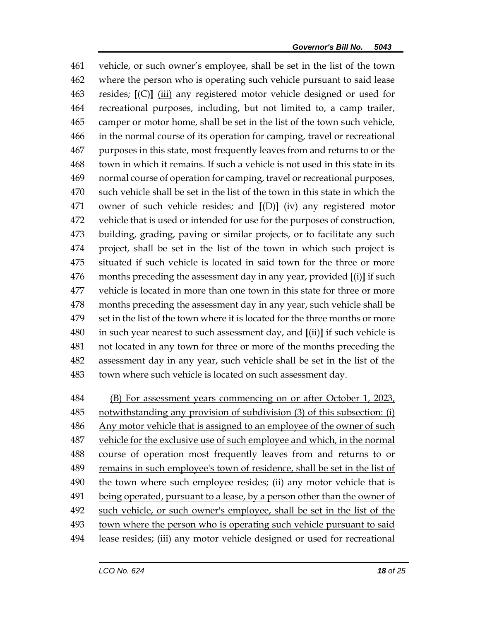vehicle, or such owner's employee, shall be set in the list of the town where the person who is operating such vehicle pursuant to said lease resides; **[**(C)**]** (iii) any registered motor vehicle designed or used for recreational purposes, including, but not limited to, a camp trailer, camper or motor home, shall be set in the list of the town such vehicle, in the normal course of its operation for camping, travel or recreational purposes in this state, most frequently leaves from and returns to or the town in which it remains. If such a vehicle is not used in this state in its normal course of operation for camping, travel or recreational purposes, such vehicle shall be set in the list of the town in this state in which the owner of such vehicle resides; and **[**(D)**]** (iv) any registered motor vehicle that is used or intended for use for the purposes of construction, building, grading, paving or similar projects, or to facilitate any such project, shall be set in the list of the town in which such project is situated if such vehicle is located in said town for the three or more months preceding the assessment day in any year, provided **[**(i)**]** if such vehicle is located in more than one town in this state for three or more months preceding the assessment day in any year, such vehicle shall be set in the list of the town where it is located for the three months or more in such year nearest to such assessment day, and **[**(ii)**]** if such vehicle is not located in any town for three or more of the months preceding the assessment day in any year, such vehicle shall be set in the list of the town where such vehicle is located on such assessment day.

 (B) For assessment years commencing on or after October 1, 2023, notwithstanding any provision of subdivision (3) of this subsection: (i) Any motor vehicle that is assigned to an employee of the owner of such vehicle for the exclusive use of such employee and which, in the normal course of operation most frequently leaves from and returns to or remains in such employee's town of residence, shall be set in the list of 490 the town where such employee resides; (ii) any motor vehicle that is being operated, pursuant to a lease, by a person other than the owner of such vehicle, or such owner's employee, shall be set in the list of the town where the person who is operating such vehicle pursuant to said lease resides; (iii) any motor vehicle designed or used for recreational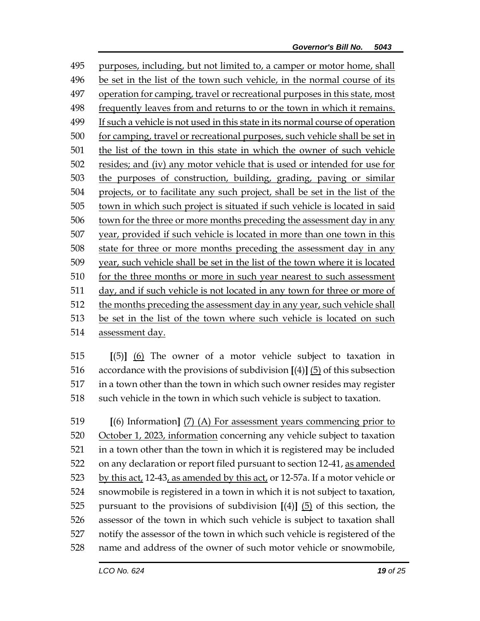purposes, including, but not limited to, a camper or motor home, shall be set in the list of the town such vehicle, in the normal course of its operation for camping, travel or recreational purposes in this state, most frequently leaves from and returns to or the town in which it remains. If such a vehicle is not used in this state in its normal course of operation for camping, travel or recreational purposes, such vehicle shall be set in the list of the town in this state in which the owner of such vehicle resides; and (iv) any motor vehicle that is used or intended for use for the purposes of construction, building, grading, paving or similar projects, or to facilitate any such project, shall be set in the list of the town in which such project is situated if such vehicle is located in said town for the three or more months preceding the assessment day in any year, provided if such vehicle is located in more than one town in this state for three or more months preceding the assessment day in any year, such vehicle shall be set in the list of the town where it is located for the three months or more in such year nearest to such assessment day, and if such vehicle is not located in any town for three or more of the months preceding the assessment day in any year, such vehicle shall be set in the list of the town where such vehicle is located on such assessment day.

 **[**(5)**]** (6) The owner of a motor vehicle subject to taxation in accordance with the provisions of subdivision **[**(4)**]** (5) of this subsection in a town other than the town in which such owner resides may register such vehicle in the town in which such vehicle is subject to taxation.

 **[**(6) Information**]** (7) (A) For assessment years commencing prior to October 1, 2023, information concerning any vehicle subject to taxation in a town other than the town in which it is registered may be included on any declaration or report filed pursuant to section 12-41, as amended 523 by this act, 12-43, as amended by this act, or 12-57a. If a motor vehicle or snowmobile is registered in a town in which it is not subject to taxation, pursuant to the provisions of subdivision **[**(4)**]** (5) of this section, the assessor of the town in which such vehicle is subject to taxation shall notify the assessor of the town in which such vehicle is registered of the name and address of the owner of such motor vehicle or snowmobile,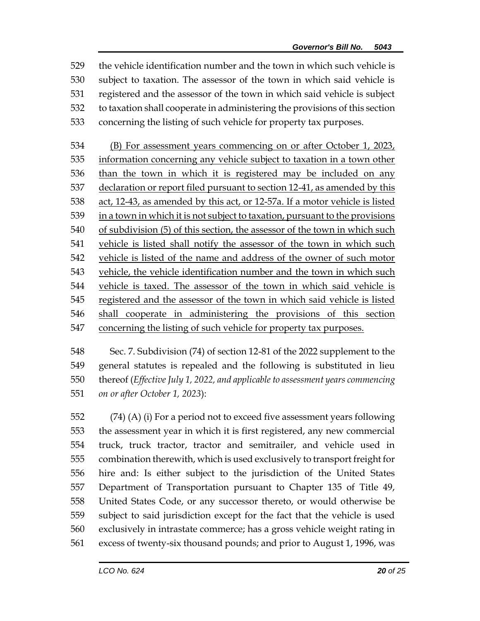the vehicle identification number and the town in which such vehicle is subject to taxation. The assessor of the town in which said vehicle is registered and the assessor of the town in which said vehicle is subject to taxation shall cooperate in administering the provisions of this section concerning the listing of such vehicle for property tax purposes.

 (B) For assessment years commencing on or after October 1, 2023, information concerning any vehicle subject to taxation in a town other 536 than the town in which it is registered may be included on any declaration or report filed pursuant to section 12-41, as amended by this act, 12-43, as amended by this act, or 12-57a. If a motor vehicle is listed in a town in which it is not subject to taxation, pursuant to the provisions of subdivision (5) of this section, the assessor of the town in which such vehicle is listed shall notify the assessor of the town in which such vehicle is listed of the name and address of the owner of such motor vehicle, the vehicle identification number and the town in which such vehicle is taxed. The assessor of the town in which said vehicle is registered and the assessor of the town in which said vehicle is listed shall cooperate in administering the provisions of this section concerning the listing of such vehicle for property tax purposes.

 Sec. 7. Subdivision (74) of section 12-81 of the 2022 supplement to the general statutes is repealed and the following is substituted in lieu thereof (*Effective July 1, 2022, and applicable to assessment years commencing on or after October 1, 2023*):

 (74) (A) (i) For a period not to exceed five assessment years following the assessment year in which it is first registered, any new commercial truck, truck tractor, tractor and semitrailer, and vehicle used in combination therewith, which is used exclusively to transport freight for hire and: Is either subject to the jurisdiction of the United States Department of Transportation pursuant to Chapter 135 of Title 49, United States Code, or any successor thereto, or would otherwise be subject to said jurisdiction except for the fact that the vehicle is used exclusively in intrastate commerce; has a gross vehicle weight rating in excess of twenty-six thousand pounds; and prior to August 1, 1996, was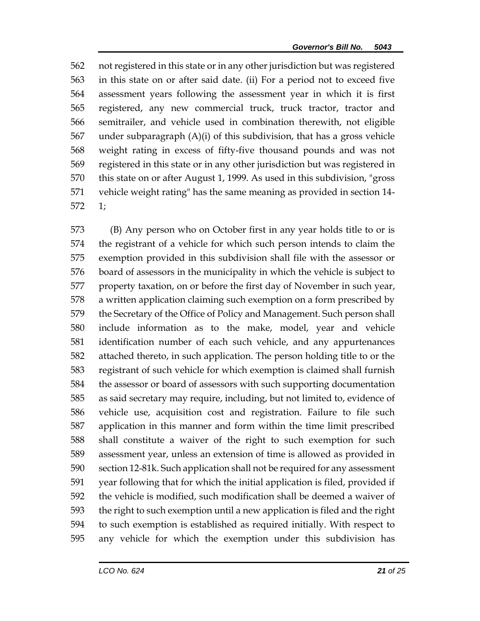not registered in this state or in any other jurisdiction but was registered in this state on or after said date. (ii) For a period not to exceed five assessment years following the assessment year in which it is first registered, any new commercial truck, truck tractor, tractor and semitrailer, and vehicle used in combination therewith, not eligible under subparagraph (A)(i) of this subdivision, that has a gross vehicle weight rating in excess of fifty-five thousand pounds and was not registered in this state or in any other jurisdiction but was registered in this state on or after August 1, 1999. As used in this subdivision, "gross vehicle weight rating" has the same meaning as provided in section 14- 1;

 (B) Any person who on October first in any year holds title to or is the registrant of a vehicle for which such person intends to claim the exemption provided in this subdivision shall file with the assessor or board of assessors in the municipality in which the vehicle is subject to property taxation, on or before the first day of November in such year, a written application claiming such exemption on a form prescribed by the Secretary of the Office of Policy and Management. Such person shall include information as to the make, model, year and vehicle identification number of each such vehicle, and any appurtenances attached thereto, in such application. The person holding title to or the registrant of such vehicle for which exemption is claimed shall furnish the assessor or board of assessors with such supporting documentation as said secretary may require, including, but not limited to, evidence of vehicle use, acquisition cost and registration. Failure to file such application in this manner and form within the time limit prescribed shall constitute a waiver of the right to such exemption for such assessment year, unless an extension of time is allowed as provided in section 12-81k. Such application shall not be required for any assessment year following that for which the initial application is filed, provided if the vehicle is modified, such modification shall be deemed a waiver of the right to such exemption until a new application is filed and the right to such exemption is established as required initially. With respect to any vehicle for which the exemption under this subdivision has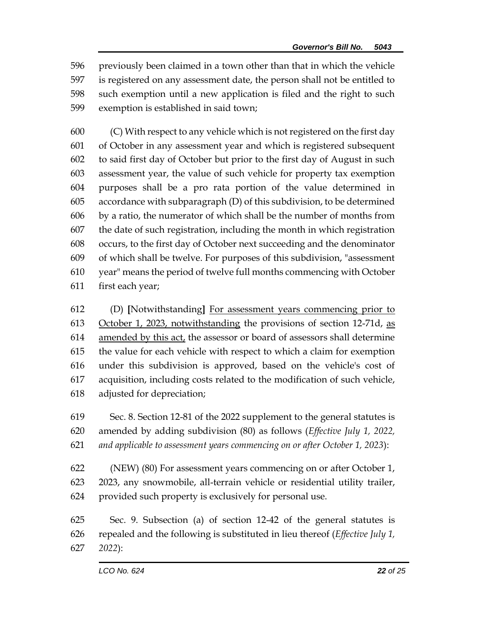previously been claimed in a town other than that in which the vehicle is registered on any assessment date, the person shall not be entitled to such exemption until a new application is filed and the right to such exemption is established in said town;

 (C) With respect to any vehicle which is not registered on the first day of October in any assessment year and which is registered subsequent to said first day of October but prior to the first day of August in such assessment year, the value of such vehicle for property tax exemption purposes shall be a pro rata portion of the value determined in accordance with subparagraph (D) of this subdivision, to be determined by a ratio, the numerator of which shall be the number of months from the date of such registration, including the month in which registration occurs, to the first day of October next succeeding and the denominator of which shall be twelve. For purposes of this subdivision, "assessment year" means the period of twelve full months commencing with October first each year;

 (D) **[**Notwithstanding**]** For assessment years commencing prior to October 1, 2023, notwithstanding the provisions of section 12-71d, as amended by this act, the assessor or board of assessors shall determine the value for each vehicle with respect to which a claim for exemption under this subdivision is approved, based on the vehicle's cost of acquisition, including costs related to the modification of such vehicle, adjusted for depreciation;

 Sec. 8. Section 12-81 of the 2022 supplement to the general statutes is amended by adding subdivision (80) as follows (*Effective July 1, 2022, and applicable to assessment years commencing on or after October 1, 2023*):

 (NEW) (80) For assessment years commencing on or after October 1, 2023, any snowmobile, all-terrain vehicle or residential utility trailer, provided such property is exclusively for personal use.

 Sec. 9. Subsection (a) of section 12-42 of the general statutes is repealed and the following is substituted in lieu thereof (*Effective July 1, 2022*):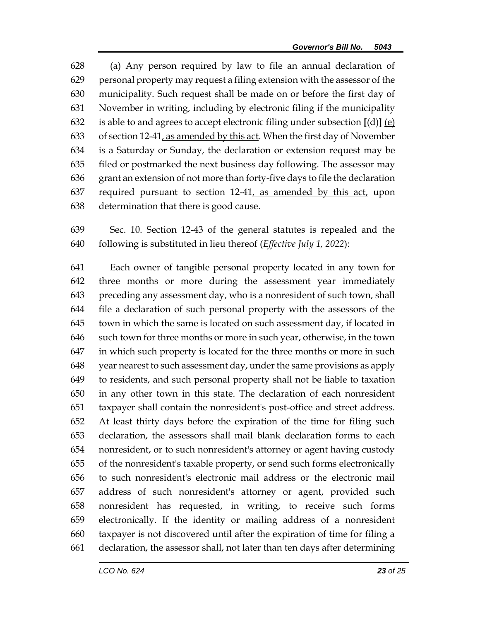(a) Any person required by law to file an annual declaration of personal property may request a filing extension with the assessor of the municipality. Such request shall be made on or before the first day of November in writing, including by electronic filing if the municipality is able to and agrees to accept electronic filing under subsection **[**(d)**]** (e) of section 12-41, as amended by this act. When the first day of November is a Saturday or Sunday, the declaration or extension request may be filed or postmarked the next business day following. The assessor may grant an extension of not more than forty-five days to file the declaration required pursuant to section 12-41, as amended by this act, upon determination that there is good cause.

 Sec. 10. Section 12-43 of the general statutes is repealed and the following is substituted in lieu thereof (*Effective July 1, 2022*):

 Each owner of tangible personal property located in any town for three months or more during the assessment year immediately preceding any assessment day, who is a nonresident of such town, shall file a declaration of such personal property with the assessors of the town in which the same is located on such assessment day, if located in such town for three months or more in such year, otherwise, in the town in which such property is located for the three months or more in such year nearest to such assessment day, under the same provisions as apply to residents, and such personal property shall not be liable to taxation in any other town in this state. The declaration of each nonresident taxpayer shall contain the nonresident's post-office and street address. At least thirty days before the expiration of the time for filing such declaration, the assessors shall mail blank declaration forms to each nonresident, or to such nonresident's attorney or agent having custody of the nonresident's taxable property, or send such forms electronically to such nonresident's electronic mail address or the electronic mail address of such nonresident's attorney or agent, provided such nonresident has requested, in writing, to receive such forms electronically. If the identity or mailing address of a nonresident taxpayer is not discovered until after the expiration of time for filing a declaration, the assessor shall, not later than ten days after determining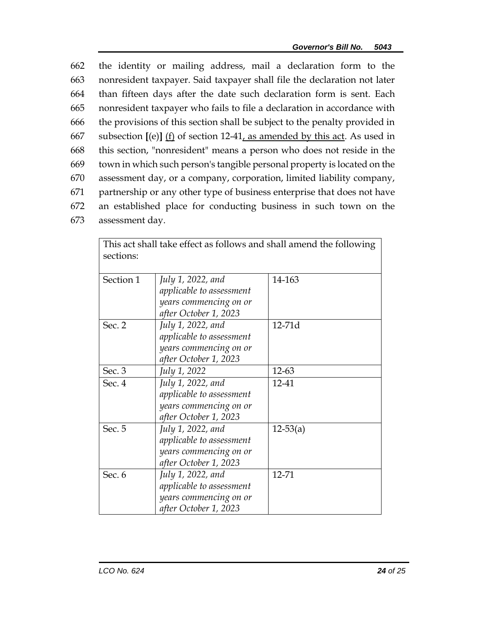the identity or mailing address, mail a declaration form to the nonresident taxpayer. Said taxpayer shall file the declaration not later than fifteen days after the date such declaration form is sent. Each nonresident taxpayer who fails to file a declaration in accordance with the provisions of this section shall be subject to the penalty provided in subsection **[**(e)**]** (f) of section 12-41, as amended by this act. As used in this section, "nonresident" means a person who does not reside in the town in which such person's tangible personal property is located on the assessment day, or a company, corporation, limited liability company, partnership or any other type of business enterprise that does not have an established place for conducting business in such town on the

673 assessment day.

| This act shall take effect as follows and shall amend the following<br>sections: |                                                                                                  |              |  |
|----------------------------------------------------------------------------------|--------------------------------------------------------------------------------------------------|--------------|--|
| Section 1                                                                        | July 1, 2022, and<br>applicable to assessment<br>years commencing on or<br>after October 1, 2023 | 14-163       |  |
| Sec. 2                                                                           | July 1, 2022, and<br>applicable to assessment<br>years commencing on or<br>after October 1, 2023 | 12-71d       |  |
| Sec. 3                                                                           | July 1, 2022                                                                                     | 12-63        |  |
| Sec. 4                                                                           | July 1, 2022, and<br>applicable to assessment<br>years commencing on or<br>after October 1, 2023 | 12-41        |  |
| Sec. 5                                                                           | July 1, 2022, and<br>applicable to assessment<br>years commencing on or<br>after October 1, 2023 | $12 - 53(a)$ |  |
| Sec. 6                                                                           | July 1, 2022, and<br>applicable to assessment<br>years commencing on or<br>after October 1, 2023 | 12-71        |  |